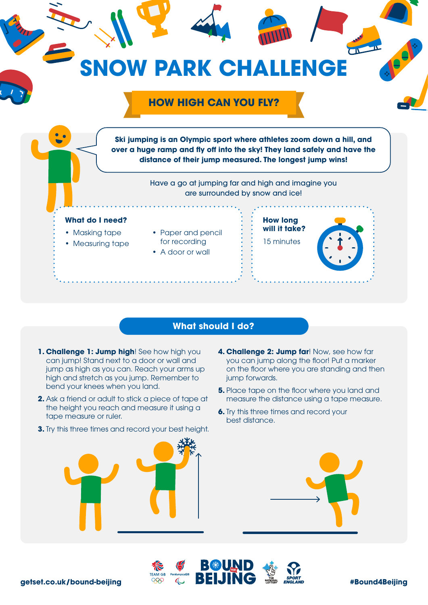

## **What should I do?**

- **1. Challenge 1: Jump high**! See how high you can jump! Stand next to a door or wall and jump as high as you can. Reach your arms up high and stretch as you jump. Remember to bend your knees when you land.
- **2.** Ask a friend or adult to stick a piece of tape at the height you reach and measure it using a tape measure or ruler.
- **3.** Try this three times and record your best height.
- **4. Challenge 2: Jump far**! Now, see how far you can jump along the floor! Put a marker on the floor where you are standing and then jump forwards.
- **5.** Place tape on the floor where you land and measure the distance using a tape measure.
- **6.** Try this three times and record your best distance.